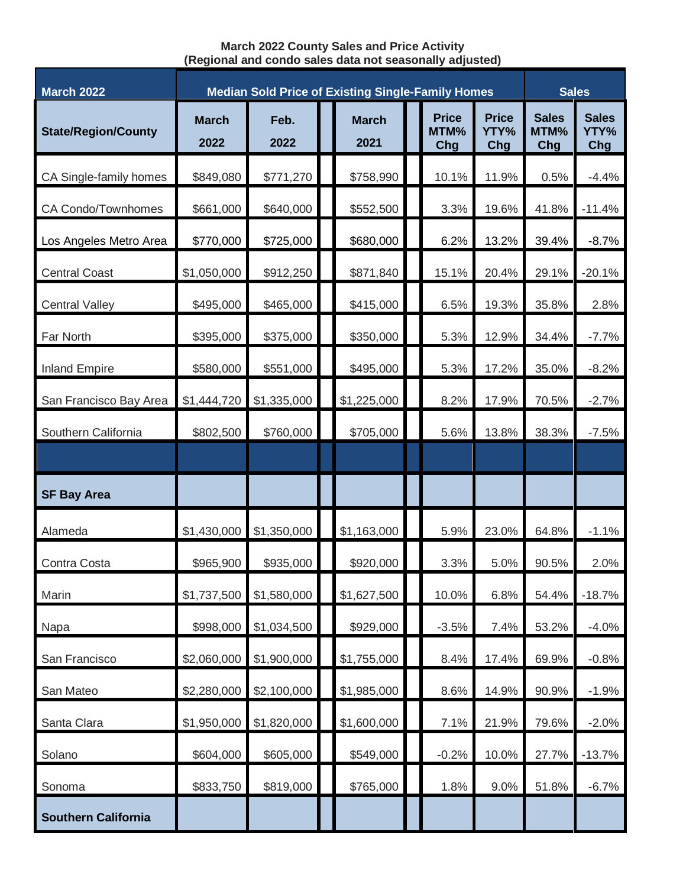## **March 2022 County Sales and Price Activity (Regional and condo sales data not seasonally adjusted)**

| <b>March 2022</b>          | <b>Median Sold Price of Existing Single-Family Homes</b> |              |  |                      |  |                             |                             | <b>Sales</b>                |                             |
|----------------------------|----------------------------------------------------------|--------------|--|----------------------|--|-----------------------------|-----------------------------|-----------------------------|-----------------------------|
| <b>State/Region/County</b> | <b>March</b><br>2022                                     | Feb.<br>2022 |  | <b>March</b><br>2021 |  | <b>Price</b><br>MTM%<br>Chg | <b>Price</b><br>YTY%<br>Chg | <b>Sales</b><br>MTM%<br>Chg | <b>Sales</b><br>YTY%<br>Chg |
| CA Single-family homes     | \$849,080                                                | \$771,270    |  | \$758,990            |  | 10.1%                       | 11.9%                       | 0.5%                        | $-4.4%$                     |
| CA Condo/Townhomes         | \$661,000                                                | \$640,000    |  | \$552,500            |  | 3.3%                        | 19.6%                       | 41.8%                       | $-11.4%$                    |
| Los Angeles Metro Area     | \$770,000                                                | \$725,000    |  | \$680,000            |  | 6.2%                        | 13.2%                       | 39.4%                       | $-8.7%$                     |
| <b>Central Coast</b>       | \$1,050,000                                              | \$912,250    |  | \$871,840            |  | 15.1%                       | 20.4%                       | 29.1%                       | $-20.1%$                    |
| <b>Central Valley</b>      | \$495,000                                                | \$465,000    |  | \$415,000            |  | 6.5%                        | 19.3%                       | 35.8%                       | 2.8%                        |
| Far North                  | \$395,000                                                | \$375,000    |  | \$350,000            |  | 5.3%                        | 12.9%                       | 34.4%                       | $-7.7%$                     |
| <b>Inland Empire</b>       | \$580,000                                                | \$551,000    |  | \$495,000            |  | 5.3%                        | 17.2%                       | 35.0%                       | $-8.2%$                     |
| San Francisco Bay Area     | \$1,444,720                                              | \$1,335,000  |  | \$1,225,000          |  | 8.2%                        | 17.9%                       | 70.5%                       | $-2.7%$                     |
| Southern California        | \$802,500                                                | \$760,000    |  | \$705,000            |  | 5.6%                        | 13.8%                       | 38.3%                       | $-7.5%$                     |
|                            |                                                          |              |  |                      |  |                             |                             |                             |                             |
| <b>SF Bay Area</b>         |                                                          |              |  |                      |  |                             |                             |                             |                             |
| Alameda                    | \$1,430,000                                              | \$1,350,000  |  | \$1,163,000          |  | 5.9%                        | 23.0%                       | 64.8%                       | $-1.1%$                     |
| Contra Costa               | \$965,900                                                | \$935,000    |  | \$920,000            |  | 3.3%                        | 5.0%                        | 90.5%                       | 2.0%                        |
| Marin                      | \$1,737,500                                              | \$1,580,000  |  | \$1,627,500          |  | 10.0%                       | 6.8%                        | 54.4%                       | $-18.7%$                    |
| Napa                       | \$998,000                                                | \$1,034,500  |  | \$929,000            |  | $-3.5%$                     | 7.4%                        | 53.2%                       | $-4.0%$                     |
| San Francisco              | \$2,060,000                                              | \$1,900,000  |  | \$1,755,000          |  | 8.4%                        | 17.4%                       | 69.9%                       | $-0.8%$                     |
| San Mateo                  | \$2,280,000                                              | \$2,100,000  |  | \$1,985,000          |  | 8.6%                        | 14.9%                       | 90.9%                       | $-1.9%$                     |
| Santa Clara                | \$1,950,000                                              | \$1,820,000  |  | \$1,600,000          |  | 7.1%                        | 21.9%                       | 79.6%                       | $-2.0%$                     |
| Solano                     | \$604,000                                                | \$605,000    |  | \$549,000            |  | $-0.2%$                     | 10.0%                       | 27.7%                       | $-13.7%$                    |
| Sonoma                     | \$833,750                                                | \$819,000    |  | \$765,000            |  | 1.8%                        | 9.0%                        | 51.8%                       | $-6.7%$                     |
| <b>Southern California</b> |                                                          |              |  |                      |  |                             |                             |                             |                             |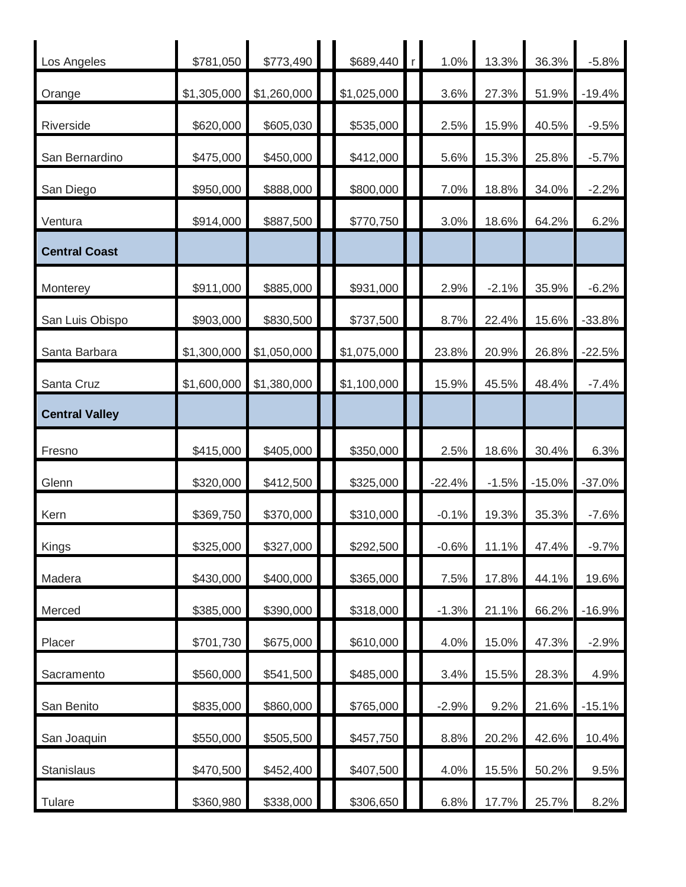| Los Angeles           | \$781,050   | \$773,490   | \$689,440   | 1.0%     | 13.3%   | 36.3%    | $-5.8%$  |
|-----------------------|-------------|-------------|-------------|----------|---------|----------|----------|
| Orange                | \$1,305,000 | \$1,260,000 | \$1,025,000 | 3.6%     | 27.3%   | 51.9%    | $-19.4%$ |
| Riverside             | \$620,000   | \$605,030   | \$535,000   | 2.5%     | 15.9%   | 40.5%    | $-9.5%$  |
| San Bernardino        | \$475,000   | \$450,000   | \$412,000   | 5.6%     | 15.3%   | 25.8%    | $-5.7%$  |
| San Diego             | \$950,000   | \$888,000   | \$800,000   | 7.0%     | 18.8%   | 34.0%    | $-2.2%$  |
| Ventura               | \$914,000   | \$887,500   | \$770,750   | 3.0%     | 18.6%   | 64.2%    | 6.2%     |
| <b>Central Coast</b>  |             |             |             |          |         |          |          |
| Monterey              | \$911,000   | \$885,000   | \$931,000   | 2.9%     | $-2.1%$ | 35.9%    | $-6.2%$  |
| San Luis Obispo       | \$903,000   | \$830,500   | \$737,500   | 8.7%     | 22.4%   | 15.6%    | $-33.8%$ |
| Santa Barbara         | \$1,300,000 | \$1,050,000 | \$1,075,000 | 23.8%    | 20.9%   | 26.8%    | $-22.5%$ |
| Santa Cruz            | \$1,600,000 | \$1,380,000 | \$1,100,000 | 15.9%    | 45.5%   | 48.4%    | $-7.4%$  |
| <b>Central Valley</b> |             |             |             |          |         |          |          |
| Fresno                | \$415,000   | \$405,000   | \$350,000   | 2.5%     | 18.6%   | 30.4%    | 6.3%     |
| Glenn                 | \$320,000   | \$412,500   | \$325,000   | $-22.4%$ | $-1.5%$ | $-15.0%$ | $-37.0%$ |
| Kern                  | \$369,750   | \$370,000   | \$310,000   | $-0.1%$  | 19.3%   | 35.3%    | $-7.6%$  |
| Kings                 | \$325,000   | \$327,000   | \$292,500   | $-0.6%$  | 11.1%   | 47.4%    | $-9.7%$  |
| Madera                | \$430,000   | \$400,000   | \$365,000   | 7.5%     | 17.8%   | 44.1%    | 19.6%    |
| Merced                | \$385,000   | \$390,000   | \$318,000   | $-1.3%$  | 21.1%   | 66.2%    | $-16.9%$ |
| Placer                | \$701,730   | \$675,000   | \$610,000   | 4.0%     | 15.0%   | 47.3%    | $-2.9%$  |
| Sacramento            | \$560,000   | \$541,500   | \$485,000   | 3.4%     | 15.5%   | 28.3%    | 4.9%     |
| San Benito            | \$835,000   | \$860,000   | \$765,000   | $-2.9%$  | 9.2%    | 21.6%    | $-15.1%$ |
| San Joaquin           | \$550,000   | \$505,500   | \$457,750   | 8.8%     | 20.2%   | 42.6%    | 10.4%    |
| Stanislaus            | \$470,500   | \$452,400   | \$407,500   | 4.0%     | 15.5%   | 50.2%    | 9.5%     |
| Tulare                | \$360,980   | \$338,000   | \$306,650   | 6.8%     | 17.7%   | 25.7%    | 8.2%     |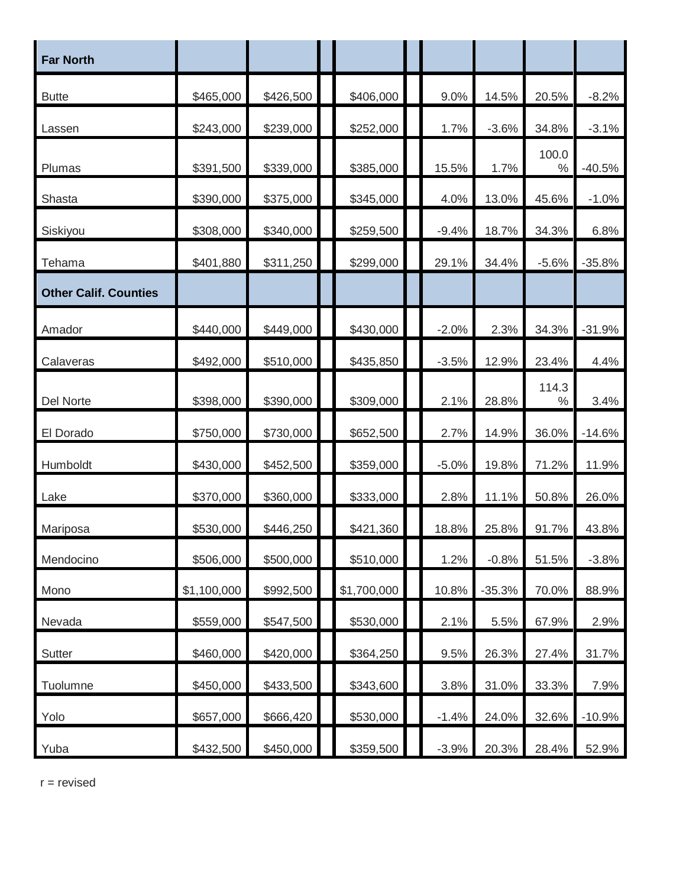| <b>Far North</b>             |             |           |             |         |          |               |          |
|------------------------------|-------------|-----------|-------------|---------|----------|---------------|----------|
| <b>Butte</b>                 | \$465,000   | \$426,500 | \$406,000   | 9.0%    | 14.5%    | 20.5%         | $-8.2%$  |
| Lassen                       | \$243,000   | \$239,000 | \$252,000   | 1.7%    | $-3.6%$  | 34.8%         | $-3.1%$  |
| Plumas                       | \$391,500   | \$339,000 | \$385,000   | 15.5%   | 1.7%     | 100.0<br>$\%$ | $-40.5%$ |
| Shasta                       | \$390,000   | \$375,000 | \$345,000   | 4.0%    | 13.0%    | 45.6%         | $-1.0%$  |
| Siskiyou                     | \$308,000   | \$340,000 | \$259,500   | $-9.4%$ | 18.7%    | 34.3%         | 6.8%     |
| Tehama                       | \$401,880   | \$311,250 | \$299,000   | 29.1%   | 34.4%    | $-5.6%$       | $-35.8%$ |
| <b>Other Calif. Counties</b> |             |           |             |         |          |               |          |
| Amador                       | \$440,000   | \$449,000 | \$430,000   | $-2.0%$ | 2.3%     | 34.3%         | $-31.9%$ |
| Calaveras                    | \$492,000   | \$510,000 | \$435,850   | $-3.5%$ | 12.9%    | 23.4%         | 4.4%     |
| Del Norte                    | \$398,000   | \$390,000 | \$309,000   | 2.1%    | 28.8%    | 114.3<br>$\%$ | 3.4%     |
| El Dorado                    | \$750,000   | \$730,000 | \$652,500   | 2.7%    | 14.9%    | 36.0%         | $-14.6%$ |
| Humboldt                     | \$430,000   | \$452,500 | \$359,000   | $-5.0%$ | 19.8%    | 71.2%         | 11.9%    |
| Lake                         | \$370,000   | \$360,000 | \$333,000   | 2.8%    | 11.1%    | 50.8%         | 26.0%    |
| Mariposa                     | \$530,000   | \$446,250 | \$421,360   | 18.8%   | 25.8%    | 91.7%         | 43.8%    |
| Mendocino                    | \$506,000   | \$500,000 | \$510,000   | 1.2%    | $-0.8%$  | 51.5%         | $-3.8%$  |
| Mono                         | \$1,100,000 | \$992,500 | \$1,700,000 | 10.8%   | $-35.3%$ | 70.0%         | 88.9%    |
| Nevada                       | \$559,000   | \$547,500 | \$530,000   | 2.1%    | 5.5%     | 67.9%         | 2.9%     |
| Sutter                       | \$460,000   | \$420,000 | \$364,250   | 9.5%    | 26.3%    | 27.4%         | 31.7%    |
| Tuolumne                     | \$450,000   | \$433,500 | \$343,600   | 3.8%    | 31.0%    | 33.3%         | 7.9%     |
| Yolo                         | \$657,000   | \$666,420 | \$530,000   | $-1.4%$ | 24.0%    | 32.6%         | $-10.9%$ |
| Yuba                         | \$432,500   | \$450,000 | \$359,500   | $-3.9%$ | 20.3%    | 28.4%         | 52.9%    |

 $r =$  revised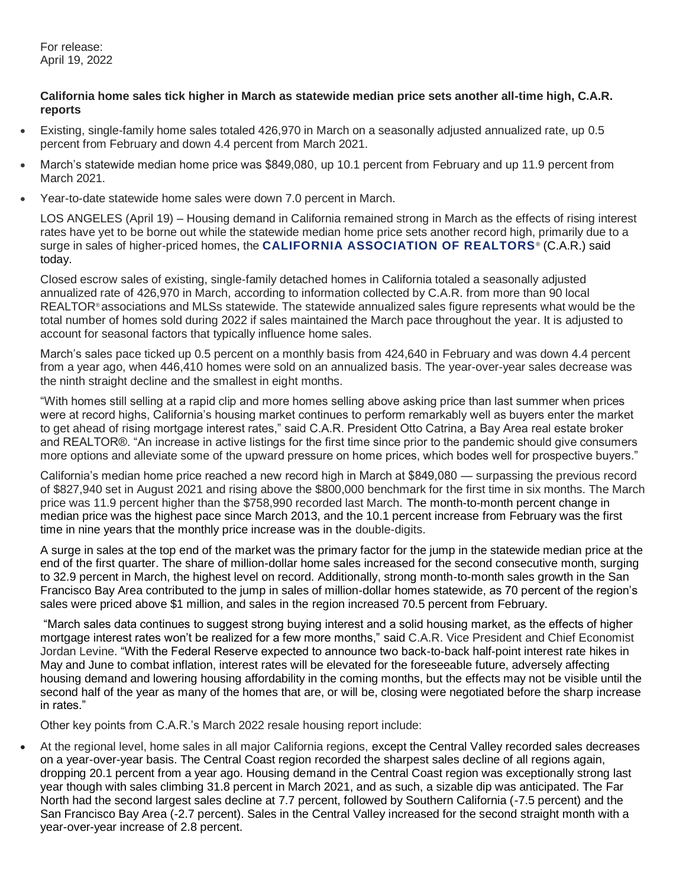For release: April 19, 2022

## **California home sales tick higher in March as statewide median price sets another all-time high, C.A.R. reports**

- Existing, single-family home sales totaled 426,970 in March on a seasonally adjusted annualized rate, up 0.5 percent from February and down 4.4 percent from March 2021.
- March's statewide median home price was \$849,080, up 10.1 percent from February and up 11.9 percent from March 2021.
- Year-to-date statewide home sales were down 7.0 percent in March.

LOS ANGELES (April 19) – Housing demand in California remained strong in March as the effects of rising interest rates have yet to be borne out while the statewide median home price sets another record high, primarily due to a surge in sales of higher-priced homes, the **[CALIFORNIA ASSOCIATION OF REALTORS](http://www.car.org/)**<sup>®</sup> (C.A.R.) said today.

Closed escrow sales of existing, single-family detached homes in California totaled a seasonally adjusted annualized rate of 426,970 in March, according to information collected by C.A.R. from more than 90 local REALTOR® associations and MLSs statewide. The statewide annualized sales figure represents what would be the total number of homes sold during 2022 if sales maintained the March pace throughout the year. It is adjusted to account for seasonal factors that typically influence home sales.

March's sales pace ticked up 0.5 percent on a monthly basis from 424,640 in February and was down 4.4 percent from a year ago, when 446,410 homes were sold on an annualized basis. The year-over-year sales decrease was the ninth straight decline and the smallest in eight months.

"With homes still selling at a rapid clip and more homes selling above asking price than last summer when prices were at record highs, California's housing market continues to perform remarkably well as buyers enter the market to get ahead of rising mortgage interest rates," said C.A.R. President Otto Catrina, a Bay Area real estate broker and REALTOR®. "An increase in active listings for the first time since prior to the pandemic should give consumers more options and alleviate some of the upward pressure on home prices, which bodes well for prospective buyers."

California's median home price reached a new record high in March at \$849,080 — surpassing the previous record of \$827,940 set in August 2021 and rising above the \$800,000 benchmark for the first time in six months. The March price was 11.9 percent higher than the \$758,990 recorded last March. The month-to-month percent change in median price was the highest pace since March 2013, and the 10.1 percent increase from February was the first time in nine years that the monthly price increase was in the double-digits.

A surge in sales at the top end of the market was the primary factor for the jump in the statewide median price at the end of the first quarter. The share of million-dollar home sales increased for the second consecutive month, surging to 32.9 percent in March, the highest level on record. Additionally, strong month-to-month sales growth in the San Francisco Bay Area contributed to the jump in sales of million-dollar homes statewide, as 70 percent of the region's sales were priced above \$1 million, and sales in the region increased 70.5 percent from February.

"March sales data continues to suggest strong buying interest and a solid housing market, as the effects of higher mortgage interest rates won't be realized for a few more months," said C.A.R. Vice President and Chief Economist Jordan Levine. "With the Federal Reserve expected to announce two back-to-back half-point interest rate hikes in May and June to combat inflation, interest rates will be elevated for the foreseeable future, adversely affecting housing demand and lowering housing affordability in the coming months, but the effects may not be visible until the second half of the year as many of the homes that are, or will be, closing were negotiated before the sharp increase in rates."

Other key points from C.A.R.'s March 2022 resale housing report include:

 At the regional level, home sales in all major California regions, except the Central Valley recorded sales decreases on a year-over-year basis. The Central Coast region recorded the sharpest sales decline of all regions again, dropping 20.1 percent from a year ago. Housing demand in the Central Coast region was exceptionally strong last year though with sales climbing 31.8 percent in March 2021, and as such, a sizable dip was anticipated. The Far North had the second largest sales decline at 7.7 percent, followed by Southern California (-7.5 percent) and the San Francisco Bay Area (-2.7 percent). Sales in the Central Valley increased for the second straight month with a year-over-year increase of 2.8 percent.